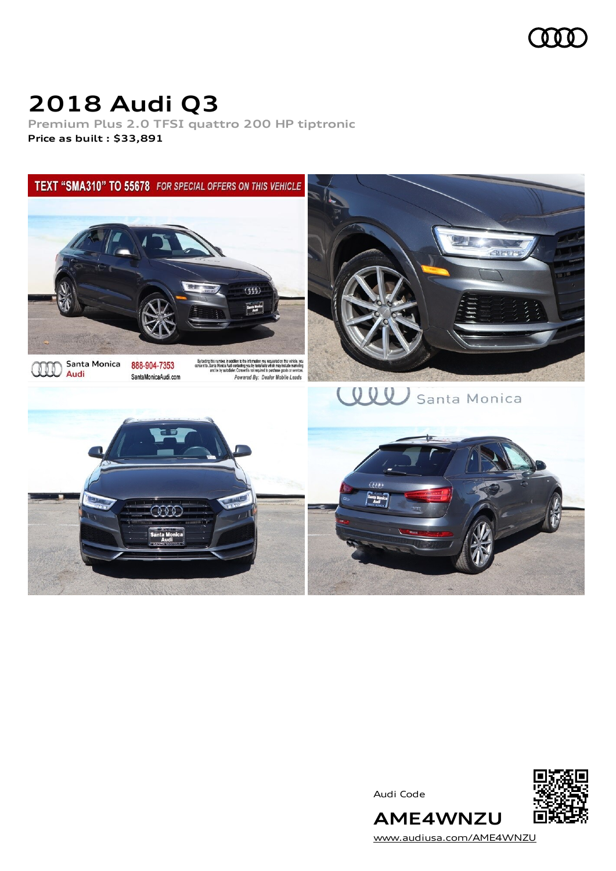

## **2018 Audi Q3**

**Premium Plus 2.0 TFSI quattro 200 HP tiptronic Price as built [:](#page-8-0) \$33,891**



Audi Code



[www.audiusa.com/AME4WNZU](https://www.audiusa.com/AME4WNZU)

**AME4WNZU**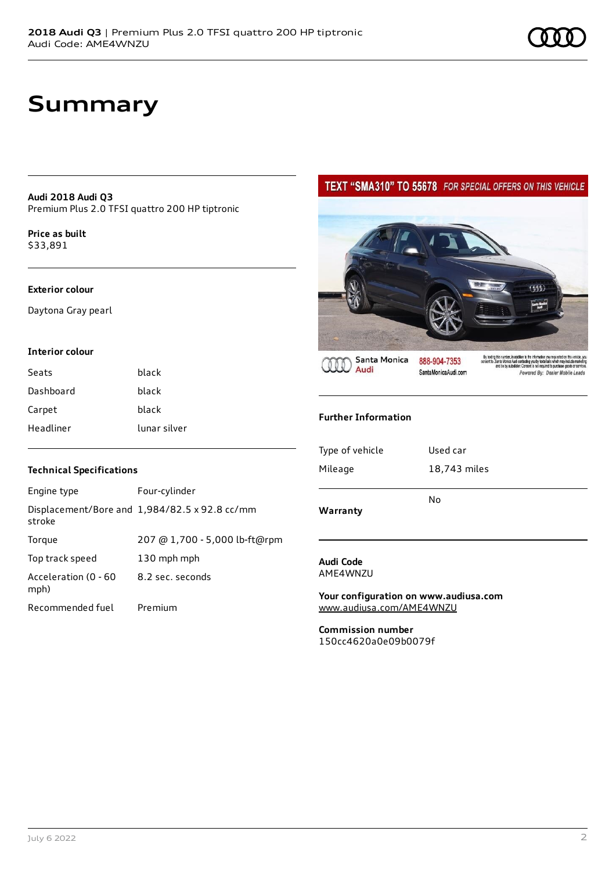## **Summary**

**Audi 2018 Audi Q3** Premium Plus 2.0 TFSI quattro 200 HP tiptronic

**Price as buil[t](#page-8-0)** \$33,891

### **Exterior colour**

Daytona Gray pearl

### **Interior colour**

| Seats     | black        |
|-----------|--------------|
| Dashboard | black        |
| Carpet    | black        |
| Headliner | lunar silver |

### **Technical Specifications**

| Engine type                  | Four-cylinder                                 |
|------------------------------|-----------------------------------------------|
| stroke                       | Displacement/Bore and 1,984/82.5 x 92.8 cc/mm |
| Torque                       | 207 @ 1,700 - 5,000 lb-ft@rpm                 |
| Top track speed              | 130 mph mph                                   |
| Acceleration (0 - 60<br>mph) | 8.2 sec. seconds                              |
| Recommended fuel             | Premium                                       |

### TEXT "SMA310" TO 55678 FOR SPECIAL OFFERS ON THIS VEHICLE



Santa Monica Audi

888-904-7353 SantaMonicaAudi.com

# By lacting this number, in addition to the information you requested on this vehicle, you consent to .<br>Santa Monica Audi contacting you by installable which may include marketing<br>and be by autodiate: Consent is not requir

### **Further Information**

| Warranty        | No           |
|-----------------|--------------|
|                 |              |
| Mileage         | 18,743 miles |
| Type of vehicle | Used car     |
|                 |              |

#### **Audi Code** AME4WNZU

**Your configuration on www.audiusa.com** [www.audiusa.com/AME4WNZU](https://www.audiusa.com/AME4WNZU)

**Commission number** 150cc4620a0e09b0079f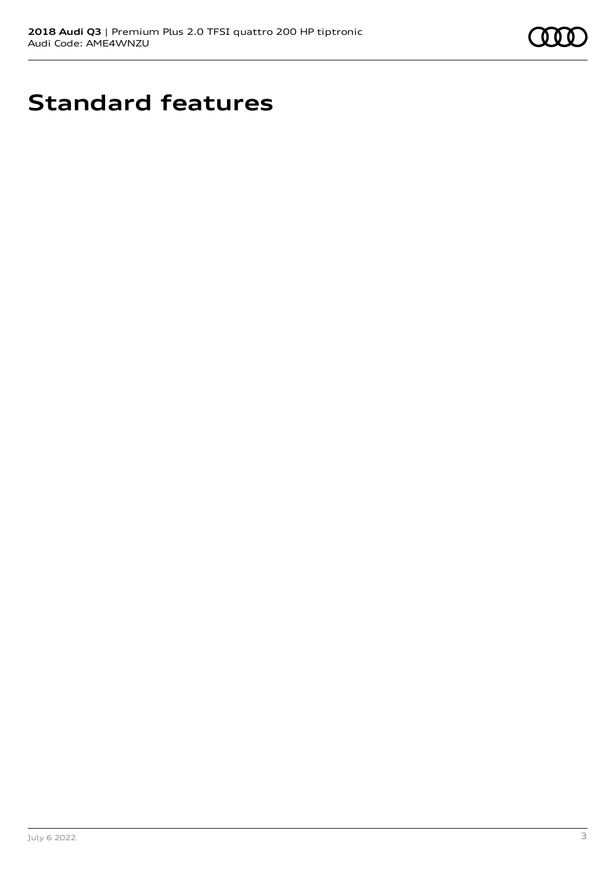

## **Standard features**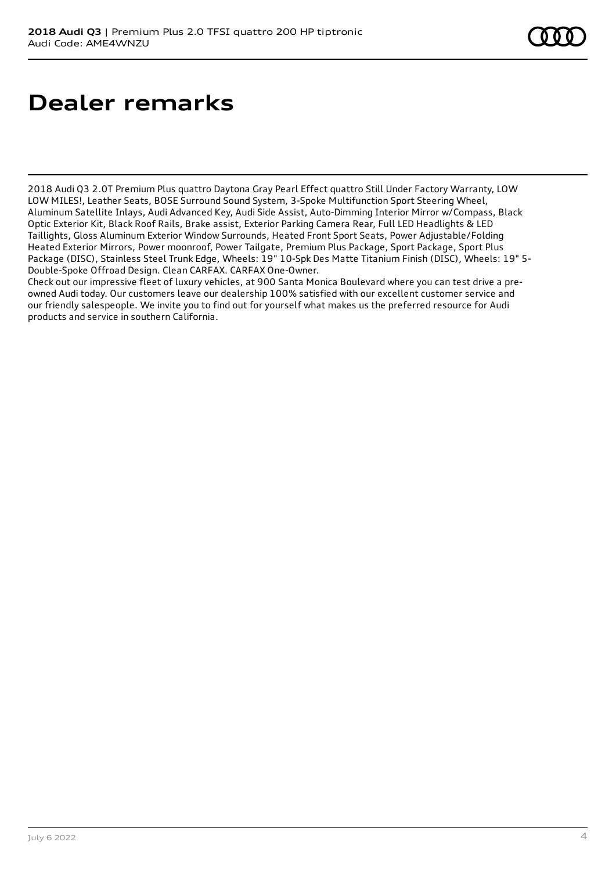## **Dealer remarks**

2018 Audi Q3 2.0T Premium Plus quattro Daytona Gray Pearl Effect quattro Still Under Factory Warranty, LOW LOW MILES!, Leather Seats, BOSE Surround Sound System, 3-Spoke Multifunction Sport Steering Wheel, Aluminum Satellite Inlays, Audi Advanced Key, Audi Side Assist, Auto-Dimming Interior Mirror w/Compass, Black Optic Exterior Kit, Black Roof Rails, Brake assist, Exterior Parking Camera Rear, Full LED Headlights & LED Taillights, Gloss Aluminum Exterior Window Surrounds, Heated Front Sport Seats, Power Adjustable/Folding Heated Exterior Mirrors, Power moonroof, Power Tailgate, Premium Plus Package, Sport Package, Sport Plus Package (DISC), Stainless Steel Trunk Edge, Wheels: 19" 10-Spk Des Matte Titanium Finish (DISC), Wheels: 19" 5- Double-Spoke Offroad Design. Clean CARFAX. CARFAX One-Owner.

Check out our impressive fleet of luxury vehicles, at 900 Santa Monica Boulevard where you can test drive a preowned Audi today. Our customers leave our dealership 100% satisfied with our excellent customer service and our friendly salespeople. We invite you to find out for yourself what makes us the preferred resource for Audi products and service in southern California.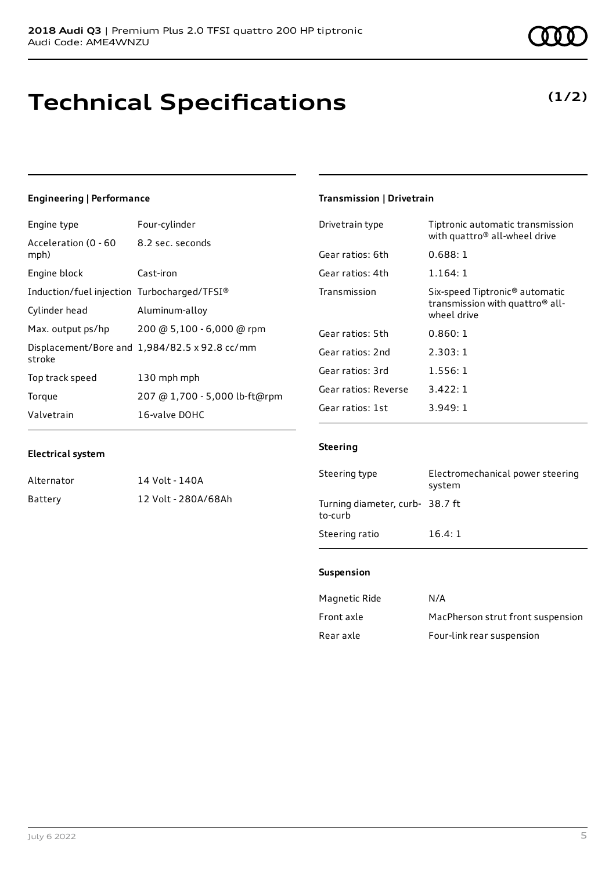## **Technical Specifications**

### **Engineering | Performance**

**Electrical system**

Alternator 14 Volt - 140A

Battery 12 Volt - 280A/68Ah

Engine type Four-cylinder

| Acceleration (0 - 60<br>mph)                | 8.2 sec. seconds                              |
|---------------------------------------------|-----------------------------------------------|
| Engine block                                | Cast-iron                                     |
| Induction/fuel injection Turbocharged/TFSI® |                                               |
| Cylinder head                               | Aluminum-alloy                                |
| Max. output ps/hp                           | 200 @ 5,100 - 6,000 @ rpm                     |
| stroke                                      | Displacement/Bore and 1,984/82.5 x 92.8 cc/mm |
| Top track speed                             | 130 mph mph                                   |
| Torque                                      | 207 @ 1,700 - 5,000 lb-ft@rpm                 |
| Valvetrain                                  | 16-valve DOHC                                 |

## **Transmission | Drivetrain**

| Drivetrain type      | Tiptronic automatic transmission<br>with quattro <sup>®</sup> all-wheel drive                            |
|----------------------|----------------------------------------------------------------------------------------------------------|
| Gear ratios: 6th     | 0.688:1                                                                                                  |
| Gear ratios: 4th     | 1.164:1                                                                                                  |
| Transmission         | Six-speed Tiptronic <sup>®</sup> automatic<br>transmission with quattro <sup>®</sup> all-<br>wheel drive |
| Gear ratios: 5th     | 0.860:1                                                                                                  |
| Gear ratios: 2nd     | 2.303:1                                                                                                  |
| Gear ratios: 3rd     | 1.556:1                                                                                                  |
| Gear ratios: Reverse | 3.422:1                                                                                                  |
| Gear ratios: 1st     | 3.949:1                                                                                                  |

### **Steering**

| Steering type                              | Electromechanical power steering<br>system |
|--------------------------------------------|--------------------------------------------|
| Turning diameter, curb- 38.7 ft<br>to-curb |                                            |
| Steering ratio                             | 16.4:1                                     |

### **Suspension**

| Magnetic Ride | N/A                               |
|---------------|-----------------------------------|
| Front axle    | MacPherson strut front suspension |
| Rear axle     | Four-link rear suspension         |

### **(1/2)**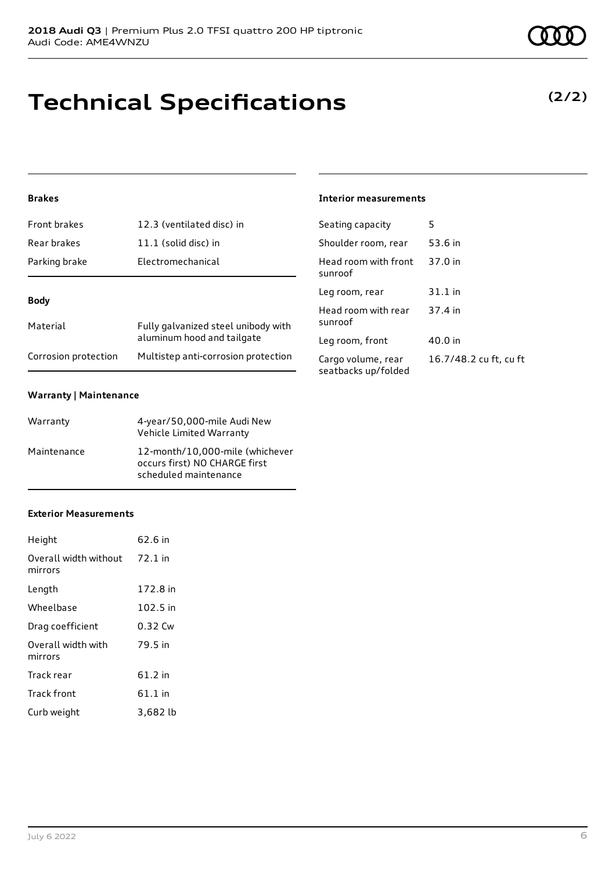### **Brakes**

| Front brakes         | 12.3 (ventilated disc) in                                         |
|----------------------|-------------------------------------------------------------------|
| Rear brakes          | $11.1$ (solid disc) in                                            |
| Parking brake        | Electromechanical                                                 |
| Body                 |                                                                   |
|                      |                                                                   |
| Material             | Fully galvanized steel unibody with<br>aluminum hood and tailgate |
| Corrosion protection | Multistep anti-corrosion protection                               |

### **Warranty | Maintenance**

| Warranty    | 4-year/50,000-mile Audi New<br>Vehicle Limited Warranty                                   |
|-------------|-------------------------------------------------------------------------------------------|
| Maintenance | 12-month/10,000-mile (whichever<br>occurs first) NO CHARGE first<br>scheduled maintenance |

### **Exterior Measurements**

| Height                           | 62.6 in  |
|----------------------------------|----------|
| Overall width without<br>mirrors | 72.1 in  |
| Length                           | 172.8 in |
| Wheelbase                        | 102.5 in |
| Drag coefficient                 | 0.32 Cw  |
| Overall width with<br>mirrors    | 79.5 in  |
| Track rear                       | 61.2 in  |
| Track front                      | 61.1 in  |
| Curb weight                      | 3,682 lb |

**Technical Specifications**

#### **Interior measurements**

| Seating capacity                          | 5                      |
|-------------------------------------------|------------------------|
| Shoulder room, rear                       | 53.6 in                |
| Head room with front<br>sunroof           | 37.0 in                |
| Leg room, rear                            | 31.1 in                |
| Head room with rear<br>sunroof            | 37.4 in                |
| Leg room, front                           | 40.0 in                |
| Cargo volume, rear<br>seatbacks up/folded | 16.7/48.2 cu ft, cu ft |

**(2/2)**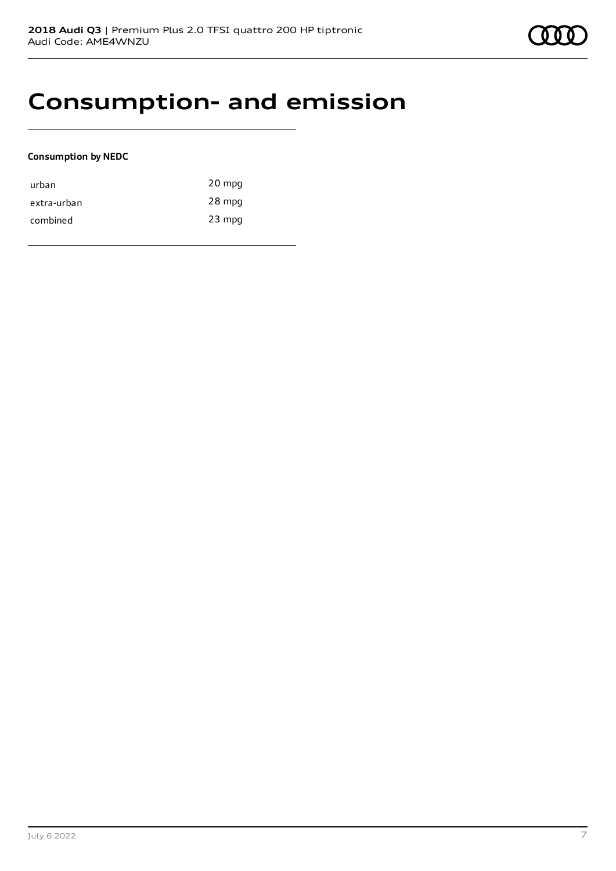## **Consumption- and emission**

### **Consumption by NEDC**

| urban       | 20 mpg   |
|-------------|----------|
| extra-urban | 28 mpg   |
| combined    | $23$ mpg |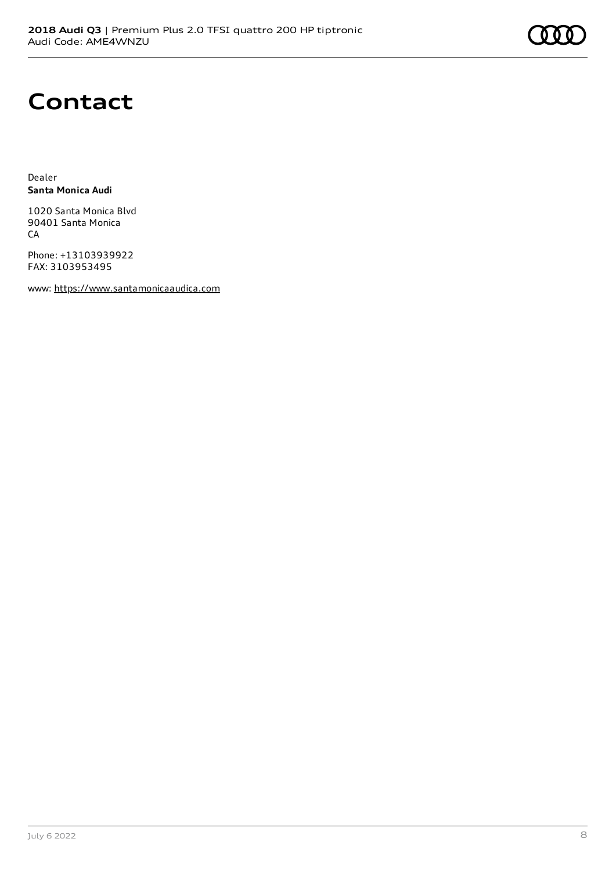## **Contact**

Dealer **Santa Monica Audi**

1020 Santa Monica Blvd 90401 Santa Monica CA

Phone: +13103939922 FAX: 3103953495

www: [https://www.santamonicaaudica.com](https://www.santamonicaaudica.com/)